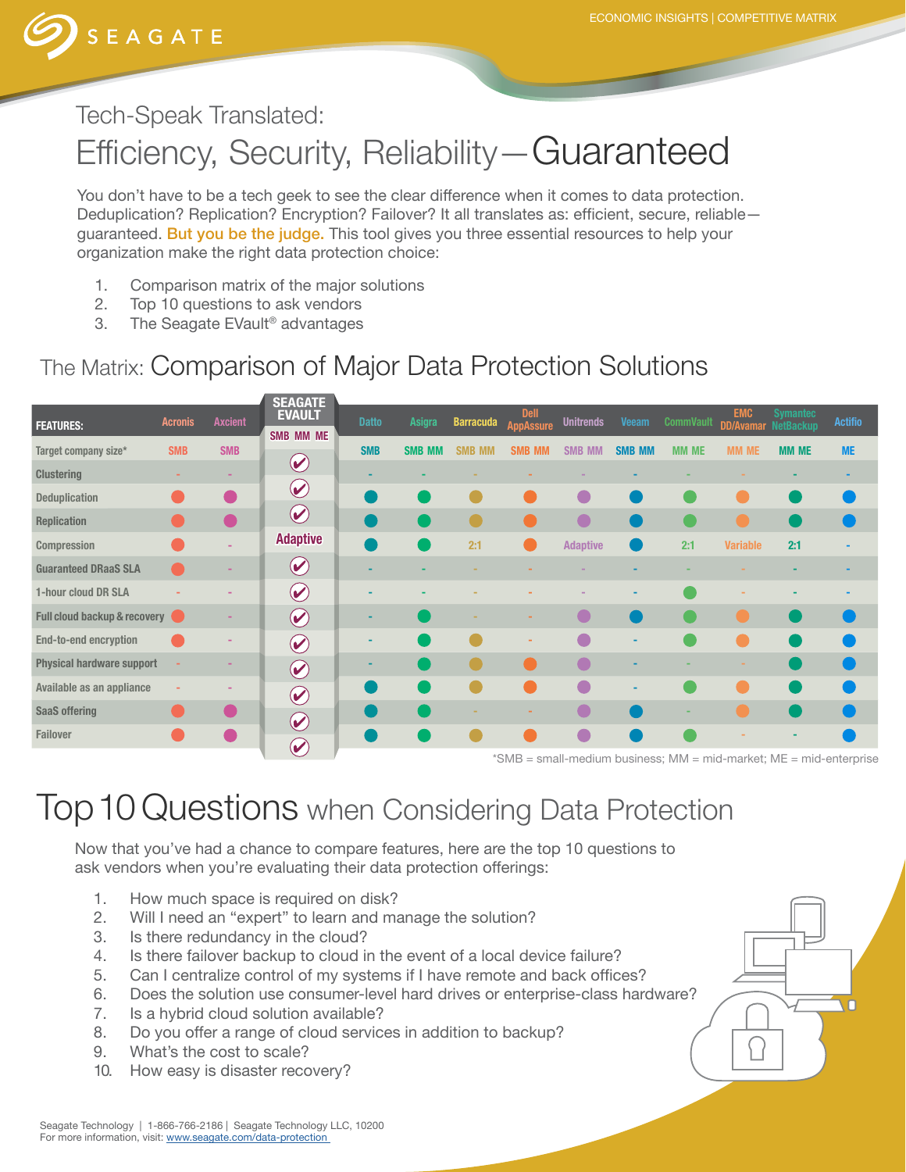

# Tech-Speak Translated: Efficiency, Security, Reliability—Guaranteed

You don't have to be a tech geek to see the clear difference when it comes to data protection. Deduplication? Replication? Encryption? Failover? It all translates as: efficient, secure, reliable guaranteed. But you be the judge. This tool gives you three essential resources to help your organization make the right data protection choice:

- 1. Comparison matrix of the major solutions
- 2. Top 10 questions to ask vendors
- 3. The Seagate EVault® advantages

## The Matrix: Comparison of Major Data Protection Solutions

|                                  |                |                | <b>SEAGATE</b><br><b>EVAULT</b>               |              |               |                         | <b>Dell</b>      |                  |               |                  | <b>EMC</b>                 | <b>Symantec</b> |                |
|----------------------------------|----------------|----------------|-----------------------------------------------|--------------|---------------|-------------------------|------------------|------------------|---------------|------------------|----------------------------|-----------------|----------------|
| <b>FEATURES:</b>                 | <b>Acronis</b> | <b>Axcient</b> | <b>SMB MM ME</b>                              | <b>Datto</b> | Asigra        | <b>Barracuda</b>        | <b>AppAssure</b> | <b>Unitrends</b> | <b>Veeam</b>  | <b>CommVault</b> | <b>DD/Avamar NetBackup</b> |                 | <b>Actifio</b> |
| Target company size*             | <b>SMB</b>     | <b>SMB</b>     |                                               | <b>SMB</b>   | <b>SMB MM</b> | <b>SMB</b><br><b>MM</b> | <b>SMB MM</b>    | <b>SMB MM</b>    | <b>SMB MM</b> | <b>MM ME</b>     | <b>MM ME</b>               | <b>MM ME</b>    | <b>ME</b>      |
| <b>Clustering</b>                |                |                | $\blacktriangledown$                          |              |               |                         |                  |                  |               |                  |                            |                 |                |
| Deduplication                    |                |                | $\blacktriangledown$                          |              |               |                         |                  |                  |               |                  |                            |                 |                |
| <b>Replication</b>               |                |                | $\left( \mathbf{v}\right)$                    |              |               |                         |                  |                  |               |                  |                            |                 |                |
| Compression                      |                |                | <b>Adaptive</b>                               |              |               | 2:1                     |                  | <b>Adaptive</b>  |               | 2:1              | <b>Variable</b>            | 2:1             |                |
| <b>Guaranteed DRaaS SLA</b>      |                |                | $\blacktriangledown$                          |              |               |                         |                  |                  |               |                  |                            |                 |                |
| 1-hour cloud DR SLA              |                |                | $\left(\color{blue}\blacktriangledown\right)$ |              |               |                         |                  |                  |               |                  |                            |                 |                |
| Full cloud backup & recovery     |                |                | $\boldsymbol{\omega}$                         |              |               |                         |                  |                  |               |                  |                            |                 |                |
| End-to-end encryption            |                |                | $\bigcirc$                                    |              |               |                         |                  |                  | ٠             |                  |                            |                 |                |
| <b>Physical hardware support</b> |                |                | $\blacklozenge$                               |              |               |                         |                  |                  |               |                  |                            |                 |                |
| Available as an appliance        |                |                | $\odot$                                       |              |               |                         |                  | C                | -             |                  |                            |                 |                |
| <b>SaaS offering</b>             |                |                | $\odot$                                       |              |               |                         |                  |                  |               |                  |                            |                 |                |
| Failover                         |                |                | $(\blacktriangledown)$                        |              |               |                         |                  |                  |               |                  |                            |                 |                |

\*SMB = small-medium business; MM = mid-market; ME = mid-enterprise

## Top 10 Questions when Considering Data Protection

Now that you've had a chance to compare features, here are the top 10 questions to ask vendors when you're evaluating their data protection offerings:

- 1. How much space is required on disk?
- 2. Will I need an "expert" to learn and manage the solution?
- 3. Is there redundancy in the cloud?
- 4. Is there failover backup to cloud in the event of a local device failure?
- 5. Can I centralize control of my systems if I have remote and back offices?
- 6. Does the solution use consumer-level hard drives or enterprise-class hardware?
- 7. Is a hybrid cloud solution available?
- 8. Do you offer a range of cloud services in addition to backup?
- 9. What's the cost to scale?
- 10. How easy is disaster recovery?